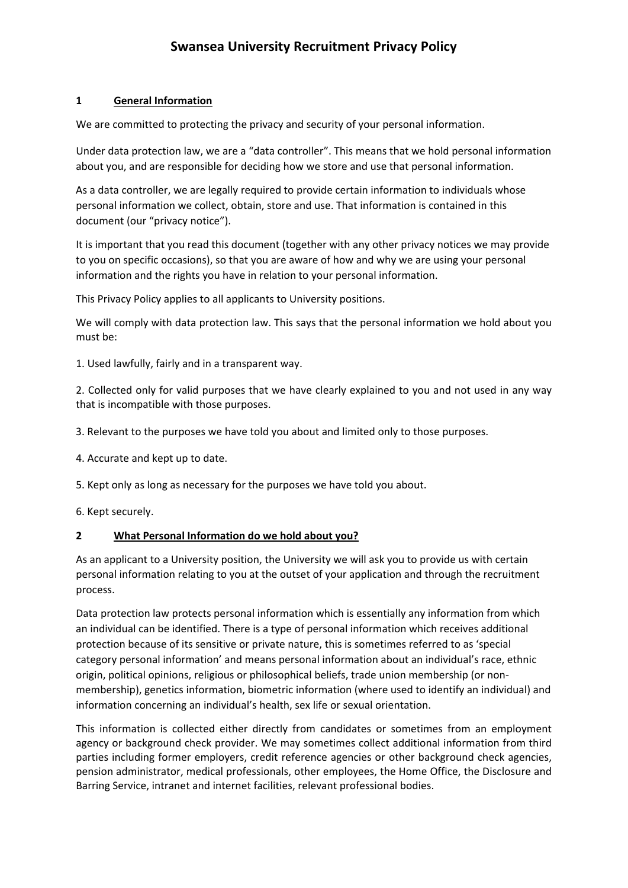## **1 General Information**

We are committed to protecting the privacy and security of your personal information.

Under data protection law, we are a "data controller". This means that we hold personal information about you, and are responsible for deciding how we store and use that personal information.

As a data controller, we are legally required to provide certain information to individuals whose personal information we collect, obtain, store and use. That information is contained in this document (our "privacy notice").

It is important that you read this document (together with any other privacy notices we may provide to you on specific occasions), so that you are aware of how and why we are using your personal information and the rights you have in relation to your personal information.

This Privacy Policy applies to all applicants to University positions.

We will comply with data protection law. This says that the personal information we hold about you must be:

1. Used lawfully, fairly and in a transparent way.

2. Collected only for valid purposes that we have clearly explained to you and not used in any way that is incompatible with those purposes.

- 3. Relevant to the purposes we have told you about and limited only to those purposes.
- 4. Accurate and kept up to date.
- 5. Kept only as long as necessary for the purposes we have told you about.
- 6. Kept securely.

## **2 What Personal Information do we hold about you?**

As an applicant to a University position, the University we will ask you to provide us with certain personal information relating to you at the outset of your application and through the recruitment process.

Data protection law protects personal information which is essentially any information from which an individual can be identified. There is a type of personal information which receives additional protection because of its sensitive or private nature, this is sometimes referred to as 'special category personal information' and means personal information about an individual's race, ethnic origin, political opinions, religious or philosophical beliefs, trade union membership (or non‐ membership), genetics information, biometric information (where used to identify an individual) and information concerning an individual's health, sex life or sexual orientation.

This information is collected either directly from candidates or sometimes from an employment agency or background check provider. We may sometimes collect additional information from third parties including former employers, credit reference agencies or other background check agencies, pension administrator, medical professionals, other employees, the Home Office, the Disclosure and Barring Service, intranet and internet facilities, relevant professional bodies.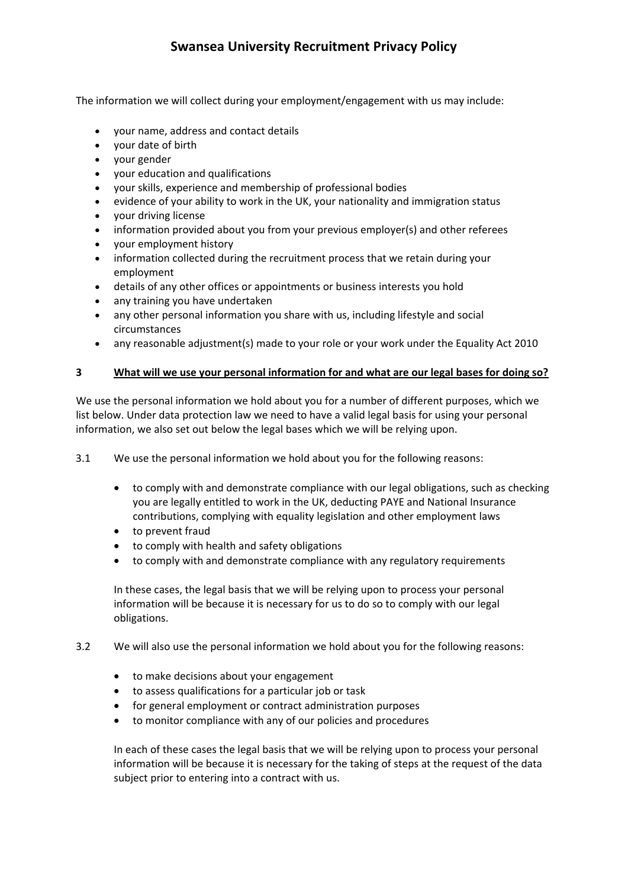The information we will collect during your employment/engagement with us may include:

- your name, address and contact details
- your date of birth
- vour gender
- your education and qualifications
- your skills, experience and membership of professional bodies
- evidence of your ability to work in the UK, your nationality and immigration status
- your driving license
- information provided about you from your previous employer(s) and other referees
- your employment history
- information collected during the recruitment process that we retain during your employment
- details of any other offices or appointments or business interests you hold
- any training you have undertaken
- any other personal information you share with us, including lifestyle and social circumstances
- any reasonable adjustment(s) made to your role or your work under the Equality Act 2010

#### **3 What will we use your personal information for and what are our legal bases for doing so?**

We use the personal information we hold about you for a number of different purposes, which we list below. Under data protection law we need to have a valid legal basis for using your personal information, we also set out below the legal bases which we will be relying upon.

3.1 We use the personal information we hold about you for the following reasons:

- to comply with and demonstrate compliance with our legal obligations, such as checking you are legally entitled to work in the UK, deducting PAYE and National Insurance contributions, complying with equality legislation and other employment laws
- to prevent fraud
- to comply with health and safety obligations
- to comply with and demonstrate compliance with any regulatory requirements

In these cases, the legal basis that we will be relying upon to process your personal information will be because it is necessary for us to do so to comply with our legal obligations.

#### 3.2 We will also use the personal information we hold about you for the following reasons:

- to make decisions about your engagement
- to assess qualifications for a particular job or task
- for general employment or contract administration purposes
- to monitor compliance with any of our policies and procedures

In each of these cases the legal basis that we will be relying upon to process your personal information will be because it is necessary for the taking of steps at the request of the data subject prior to entering into a contract with us.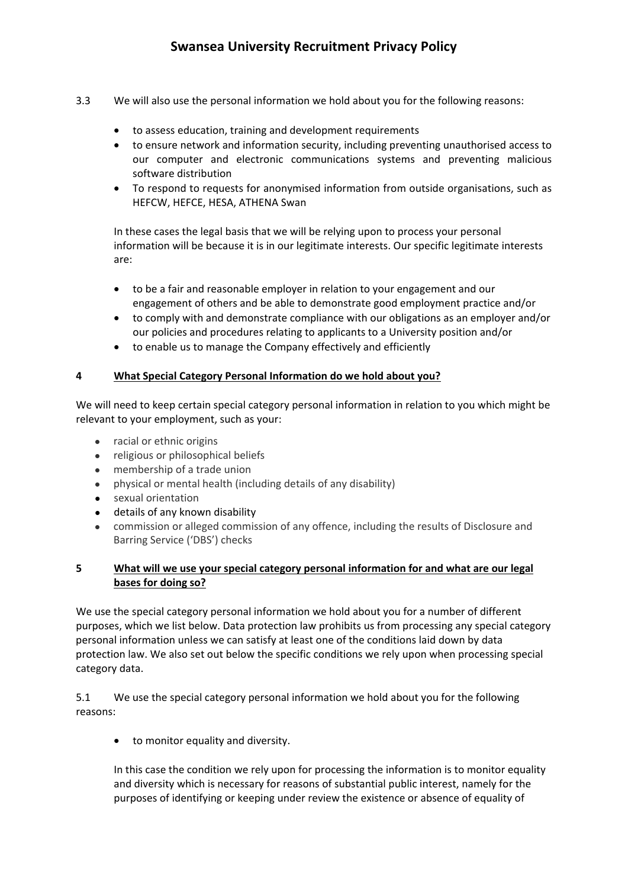- 3.3 We will also use the personal information we hold about you for the following reasons:
	- to assess education, training and development requirements
	- to ensure network and information security, including preventing unauthorised access to our computer and electronic communications systems and preventing malicious software distribution
	- To respond to requests for anonymised information from outside organisations, such as HEFCW, HEFCE, HESA, ATHENA Swan

In these cases the legal basis that we will be relying upon to process your personal information will be because it is in our legitimate interests. Our specific legitimate interests are:

- to be a fair and reasonable employer in relation to your engagement and our engagement of others and be able to demonstrate good employment practice and/or
- to comply with and demonstrate compliance with our obligations as an employer and/or our policies and procedures relating to applicants to a University position and/or
- to enable us to manage the Company effectively and efficiently

## **4 What Special Category Personal Information do we hold about you?**

We will need to keep certain special category personal information in relation to you which might be relevant to your employment, such as your:

- racial or ethnic origins
- religious or philosophical beliefs
- membership of a trade union
- physical or mental health (including details of any disability)
- sexual orientation
- details of any known disability
- commission or alleged commission of any offence, including the results of Disclosure and Barring Service ('DBS') checks

## **5 What will we use your special category personal information for and what are our legal bases for doing so?**

We use the special category personal information we hold about you for a number of different purposes, which we list below. Data protection law prohibits us from processing any special category personal information unless we can satisfy at least one of the conditions laid down by data protection law. We also set out below the specific conditions we rely upon when processing special category data.

5.1 We use the special category personal information we hold about you for the following reasons:

to monitor equality and diversity.

In this case the condition we rely upon for processing the information is to monitor equality and diversity which is necessary for reasons of substantial public interest, namely for the purposes of identifying or keeping under review the existence or absence of equality of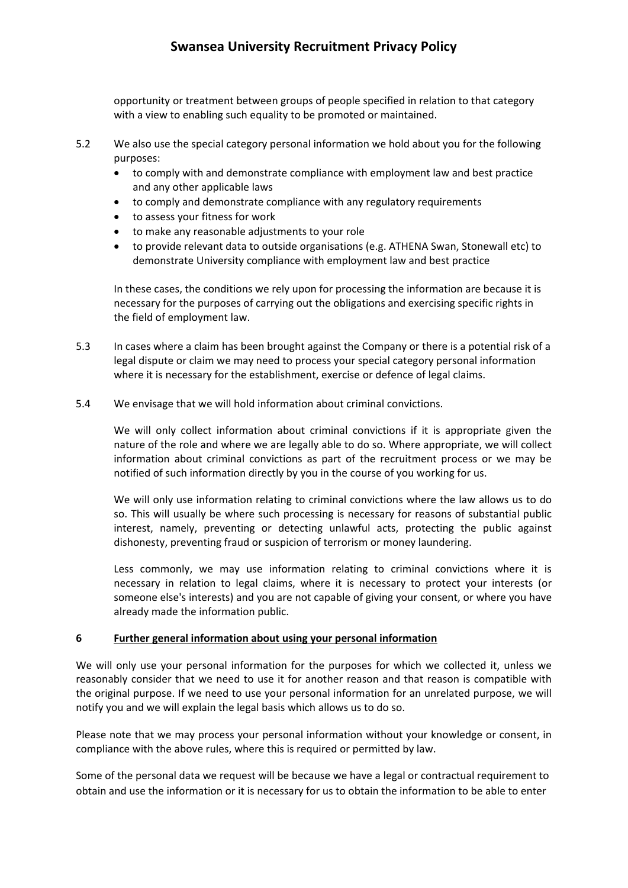opportunity or treatment between groups of people specified in relation to that category with a view to enabling such equality to be promoted or maintained.

- 5.2 We also use the special category personal information we hold about you for the following purposes:
	- to comply with and demonstrate compliance with employment law and best practice and any other applicable laws
	- to comply and demonstrate compliance with any regulatory requirements
	- to assess your fitness for work
	- to make any reasonable adjustments to your role
	- to provide relevant data to outside organisations (e.g. ATHENA Swan, Stonewall etc) to demonstrate University compliance with employment law and best practice

In these cases, the conditions we rely upon for processing the information are because it is necessary for the purposes of carrying out the obligations and exercising specific rights in the field of employment law.

- 5.3 In cases where a claim has been brought against the Company or there is a potential risk of a legal dispute or claim we may need to process your special category personal information where it is necessary for the establishment, exercise or defence of legal claims.
- 5.4 We envisage that we will hold information about criminal convictions.

We will only collect information about criminal convictions if it is appropriate given the nature of the role and where we are legally able to do so. Where appropriate, we will collect information about criminal convictions as part of the recruitment process or we may be notified of such information directly by you in the course of you working for us.

We will only use information relating to criminal convictions where the law allows us to do so. This will usually be where such processing is necessary for reasons of substantial public interest, namely, preventing or detecting unlawful acts, protecting the public against dishonesty, preventing fraud or suspicion of terrorism or money laundering.

Less commonly, we may use information relating to criminal convictions where it is necessary in relation to legal claims, where it is necessary to protect your interests (or someone else's interests) and you are not capable of giving your consent, or where you have already made the information public.

#### **6 Further general information about using your personal information**

We will only use your personal information for the purposes for which we collected it, unless we reasonably consider that we need to use it for another reason and that reason is compatible with the original purpose. If we need to use your personal information for an unrelated purpose, we will notify you and we will explain the legal basis which allows us to do so.

Please note that we may process your personal information without your knowledge or consent, in compliance with the above rules, where this is required or permitted by law.

Some of the personal data we request will be because we have a legal or contractual requirement to obtain and use the information or it is necessary for us to obtain the information to be able to enter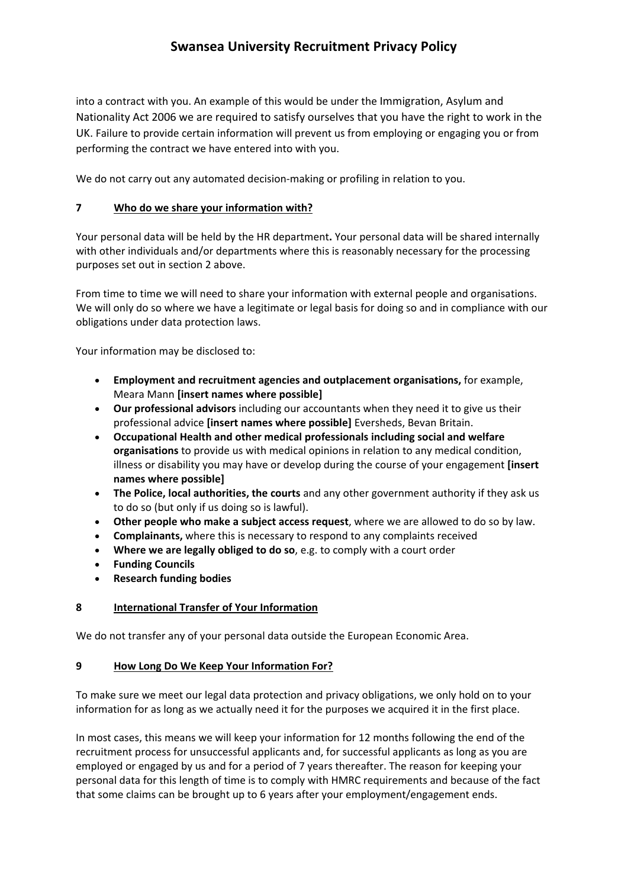into a contract with you. An example of this would be under the Immigration, Asylum and Nationality Act 2006 we are required to satisfy ourselves that you have the right to work in the UK. Failure to provide certain information will prevent us from employing or engaging you or from performing the contract we have entered into with you.

We do not carry out any automated decision-making or profiling in relation to you.

## **7 Who do we share your information with?**

Your personal data will be held by the HR department**.** Your personal data will be shared internally with other individuals and/or departments where this is reasonably necessary for the processing purposes set out in section 2 above.

From time to time we will need to share your information with external people and organisations. We will only do so where we have a legitimate or legal basis for doing so and in compliance with our obligations under data protection laws.

Your information may be disclosed to:

- **Employment and recruitment agencies and outplacement organisations,** for example, Meara Mann **[insert names where possible]**
- **Our professional advisors** including our accountants when they need it to give us their professional advice **[insert names where possible]** Eversheds, Bevan Britain.
- **Occupational Health and other medical professionals including social and welfare organisations** to provide us with medical opinions in relation to any medical condition, illness or disability you may have or develop during the course of your engagement **[insert names where possible]**
- **The Police, local authorities, the courts** and any other government authority if they ask us to do so (but only if us doing so is lawful).
- **Other people who make a subject access request**, where we are allowed to do so by law.
- **Complainants,** where this is necessary to respond to any complaints received
- **Where we are legally obliged to do so**, e.g. to comply with a court order
- **Funding Councils**
- **Research funding bodies**

## **8 International Transfer of Your Information**

We do not transfer any of your personal data outside the European Economic Area.

## **9 How Long Do We Keep Your Information For?**

To make sure we meet our legal data protection and privacy obligations, we only hold on to your information for as long as we actually need it for the purposes we acquired it in the first place.

In most cases, this means we will keep your information for 12 months following the end of the recruitment process for unsuccessful applicants and, for successful applicants as long as you are employed or engaged by us and for a period of 7 years thereafter. The reason for keeping your personal data for this length of time is to comply with HMRC requirements and because of the fact that some claims can be brought up to 6 years after your employment/engagement ends.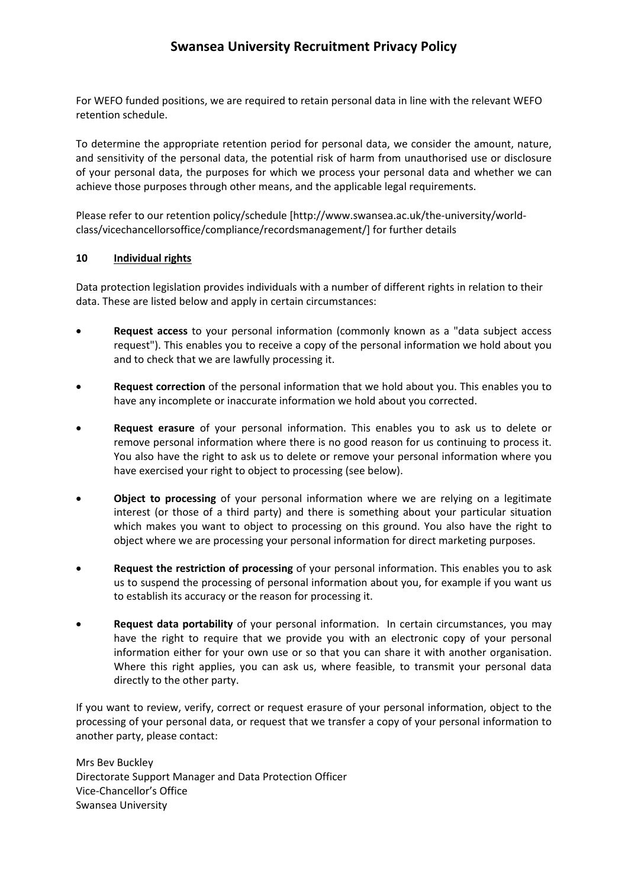For WEFO funded positions, we are required to retain personal data in line with the relevant WEFO retention schedule.

To determine the appropriate retention period for personal data, we consider the amount, nature, and sensitivity of the personal data, the potential risk of harm from unauthorised use or disclosure of your personal data, the purposes for which we process your personal data and whether we can achieve those purposes through other means, and the applicable legal requirements.

Please refer to our retention policy/schedule [http://www.swansea.ac.uk/the‐university/world‐ class/vicechancellorsoffice/compliance/recordsmanagement/] for further details

#### **10 Individual rights**

Data protection legislation provides individuals with a number of different rights in relation to their data. These are listed below and apply in certain circumstances:

- **Request access** to your personal information (commonly known as a "data subject access request"). This enables you to receive a copy of the personal information we hold about you and to check that we are lawfully processing it.
- **Request correction** of the personal information that we hold about you. This enables you to have any incomplete or inaccurate information we hold about you corrected.
- **Request erasure** of your personal information. This enables you to ask us to delete or remove personal information where there is no good reason for us continuing to process it. You also have the right to ask us to delete or remove your personal information where you have exercised your right to object to processing (see below).
- **Object to processing** of your personal information where we are relying on a legitimate interest (or those of a third party) and there is something about your particular situation which makes you want to object to processing on this ground. You also have the right to object where we are processing your personal information for direct marketing purposes.
- **Request the restriction of processing** of your personal information. This enables you to ask us to suspend the processing of personal information about you, for example if you want us to establish its accuracy or the reason for processing it.
- **Request data portability** of your personal information. In certain circumstances, you may have the right to require that we provide you with an electronic copy of your personal information either for your own use or so that you can share it with another organisation. Where this right applies, you can ask us, where feasible, to transmit your personal data directly to the other party.

If you want to review, verify, correct or request erasure of your personal information, object to the processing of your personal data, or request that we transfer a copy of your personal information to another party, please contact:

Mrs Bev Buckley Directorate Support Manager and Data Protection Officer Vice‐Chancellor's Office Swansea University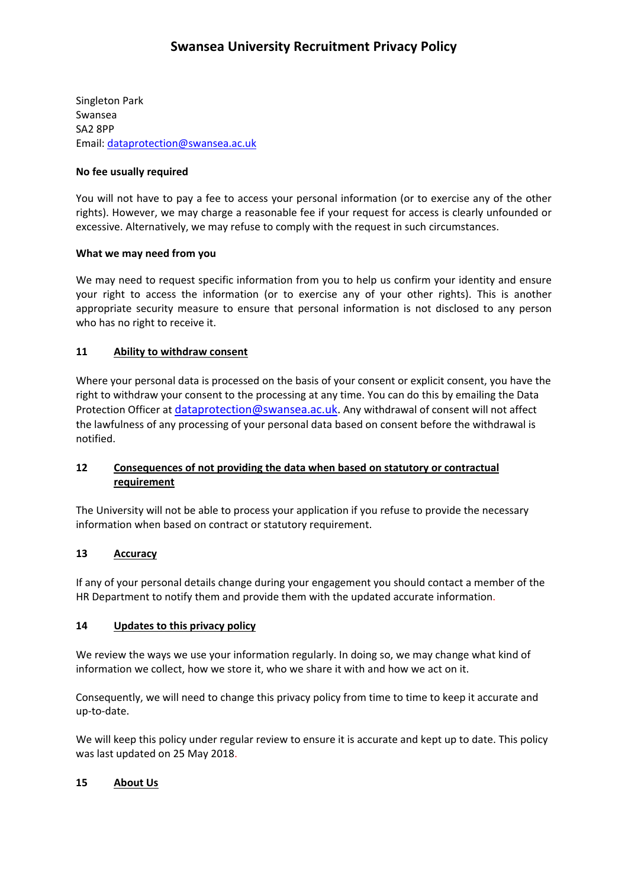Singleton Park Swansea SA2 8PP Email: dataprotection@swansea.ac.uk

### **No fee usually required**

You will not have to pay a fee to access your personal information (or to exercise any of the other rights). However, we may charge a reasonable fee if your request for access is clearly unfounded or excessive. Alternatively, we may refuse to comply with the request in such circumstances.

### **What we may need from you**

We may need to request specific information from you to help us confirm your identity and ensure your right to access the information (or to exercise any of your other rights). This is another appropriate security measure to ensure that personal information is not disclosed to any person who has no right to receive it.

### **11 Ability to withdraw consent**

Where your personal data is processed on the basis of your consent or explicit consent, you have the right to withdraw your consent to the processing at any time. You can do this by emailing the Data Protection Officer at dataprotection@swansea.ac.uk. Any withdrawal of consent will not affect the lawfulness of any processing of your personal data based on consent before the withdrawal is notified.

## **12 Consequences of not providing the data when based on statutory or contractual requirement**

The University will not be able to process your application if you refuse to provide the necessary information when based on contract or statutory requirement.

#### 13 **Accuracy**

If any of your personal details change during your engagement you should contact a member of the HR Department to notify them and provide them with the updated accurate information.

#### **14 Updates to this privacy policy**

We review the ways we use your information regularly. In doing so, we may change what kind of information we collect, how we store it, who we share it with and how we act on it.

Consequently, we will need to change this privacy policy from time to time to keep it accurate and up‐to‐date.

We will keep this policy under regular review to ensure it is accurate and kept up to date. This policy was last updated on 25 May 2018.

#### **15 About Us**